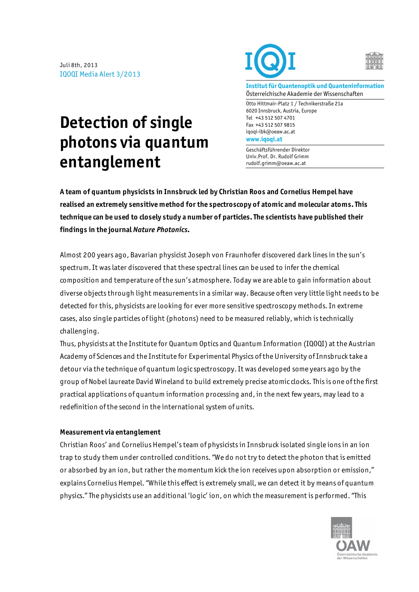Juli 8th, 2013 IQOQI Media Alert 3/2013





**Institut für Quantenoptik und Quanteninformation** Österreichische Akademie der Wissenschaften

Otto Hittmair-Platz 1 / Technikerstraße 21a 6020 Innsbruck, Austria, Europe Tel +43 512 507 4701 Fax +43 512 507 9815 iqoqi-ibk@oeaw.ac.at **www.iqoqi.at**

Geschäftsführender Direktor Univ.Prof. Dr. Rudolf Grimm rudolf.grimm@oeaw.ac.at

## **Detection of single photons via quantum entanglement**

**A team of quantum physicists in Innsbruck led by Christian Roos and Cornelius Hempel have realised an extremely sensitive method for the spectroscopy of atomic and molecular atoms. This technique can be used to closely study a number of particles. The scientists have published their findings in the journal** *Nature Photonics***.** 

Almost 200 years ago, Bavarian physicist Joseph von Fraunhofer discovered dark lines in the sun's spectrum. It was later discovered that these spectral lines can be used to infer the chemical composition and temperature of the sun's atmosphere. Today we are able to gain information about diverse objects through light measurements in a similar way. Because often very little light needs to be detected for this, physicists are looking for ever more sensitive spectroscopy methods. In extreme cases, also single particles of light (photons) need to be measured reliably, which is technically challenging.

Thus, physicists at the Institute for Quantum Optics and Quantum Information (IQOQI) at the Austrian Academy of Sciences and the Institute for Experimental Physics of the University of Innsbruck take a detour via the technique of quantum logic spectroscopy. It was developed some years ago by the group of Nobel laureate David Wineland to build extremely precise atomic clocks. This is one of the first practical applications of quantum information processing and, in the next few years, may lead to a redefinition of the second in the international system of units.

## **Measurement via entanglement**

Christian Roos' and Cornelius Hempel's team of physicists in Innsbruck isolated single ions in an ion trap to study them under controlled conditions. "We do not try to detect the photon that is emitted or absorbed by an ion, but rather the momentum kick the ion receives upon absorption or emission," explains Cornelius Hempel. "While this effect is extremely small, we can detect it by means of quantum physics." The physicists use an additional 'logic' ion, on which the measurement is performed. "This

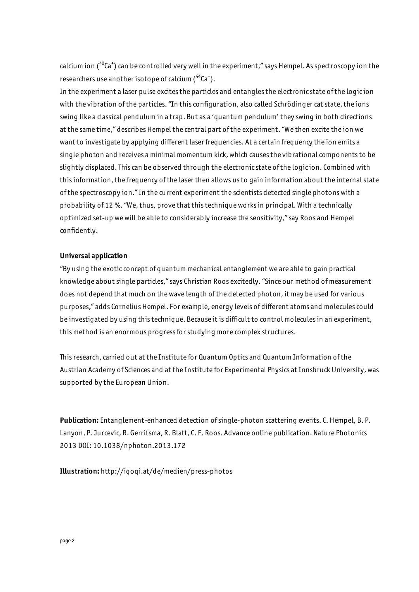calcium ion (<sup>40</sup>Ca<sup>+</sup>) can be controlled very well in the experiment," says Hempel. As spectroscopy ion the researchers use another isotope of calcium  $({}^{44}Ca^{+})$ .

In the experiment a laser pulse excites the particles and entangles the electronic state of the logic ion with the vibration of the particles. "In this configuration, also called Schrödinger cat state, the ions swing like a classical pendulum in a trap. But as a 'quantum pendulum' they swing in both directions at the same time," describes Hempel the central part of the experiment. "We then excite the ion we want to investigate by applying different laser frequencies. At a certain frequency the ion emits a single photon and receives a minimal momentum kick, which causes the vibrational components to be slightly displaced. This can be observed through the electronic state of the logic ion. Combined with this information, the frequency of the laser then allows us to gain information about the internal state of the spectroscopy ion." In the current experiment the scientists detected single photons with a probability of 12 %. "We, thus, prove that this technique works in principal. With a technically optimized set-up we will be able to considerably increase the sensitivity," say Roos and Hempel confidently.

## **Universal application**

"By using the exotic concept of quantum mechanical entanglement we are able to gain practical knowledge about single particles," says Christian Roos excitedly. "Since our method of measurement does not depend that much on the wave length of the detected photon, it may be used for various purposes," adds Cornelius Hempel. For example, energy levels of different atoms and molecules could be investigated by using this technique. Because it is difficult to control molecules in an experiment, this method is an enormous progress for studying more complex structures.

This research, carried out at the Institute for Quantum Optics and Quantum Information of the Austrian Academy of Sciences and at the Institute for Experimental Physics at Innsbruck University, was supported by the European Union.

**Publication:** Entanglement-enhanced detection of single-photon scattering events. C. Hempel, B. P. Lanyon, P. Jurcevic, R. Gerritsma, R. Blatt, C. F. Roos. Advance online publication. Nature Photonics 2013 DOI: 10.1038/nphoton.2013.172

**Illustration:** http://iqoqi.at/de/medien/press-photos